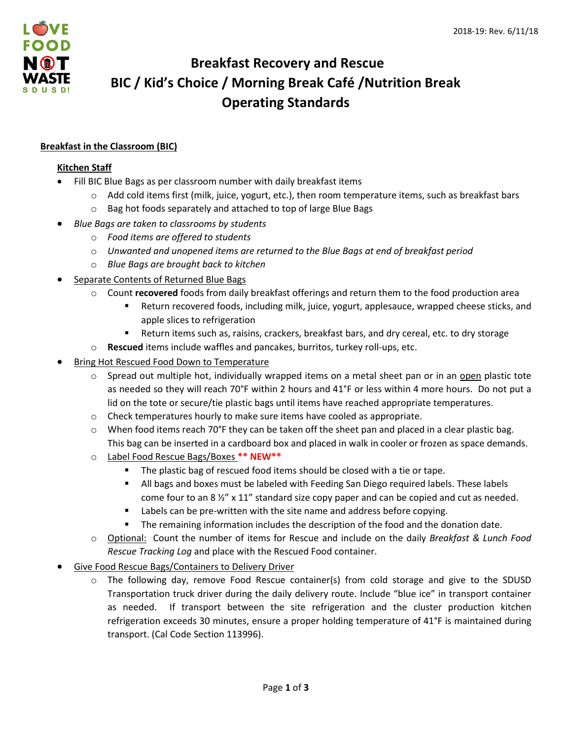

# **Breakfast Recovery and Rescue BIC / Kid's Choice / Morning Break Café /Nutrition Break Operating Standards**

# **Breakfast in the Classroom (BIC)**

#### **Kitchen Staff**

- Fill BIC Blue Bags as per classroom number with daily breakfast items
	- o Add cold items first (milk, juice, yogurt, etc.), then room temperature items, such as breakfast bars
	- o Bag hot foods separately and attached to top of large Blue Bags
- *Blue Bags are taken to classrooms by students*
	- o *Food items are offered to students*
	- o *Unwanted and unopened items are returned to the Blue Bags at end of breakfast period*
	- o *Blue Bags are brought back to kitchen*
- Separate Contents of Returned Blue Bags
	- Count **recovered** foods from daily breakfast offerings and return them to the food production area
		- Return recovered foods, including milk, juice, yogurt, applesauce, wrapped cheese sticks, and apple slices to refrigeration
		- **Return items such as, raisins, crackers, breakfast bars, and dry cereal, etc. to dry storage**
	- o **Rescued** items include waffles and pancakes, burritos, turkey roll-ups, etc.
- Bring Hot Rescued Food Down to Temperature
	- $\circ$  Spread out multiple hot, individually wrapped items on a metal sheet pan or in an open plastic tote as needed so they will reach 70°F within 2 hours and 41°F or less within 4 more hours. Do not put a lid on the tote or secure/tie plastic bags until items have reached appropriate temperatures.
	- o Check temperatures hourly to make sure items have cooled as appropriate.
	- $\circ$  When food items reach 70°F they can be taken off the sheet pan and placed in a clear plastic bag. This bag can be inserted in a cardboard box and placed in walk in cooler or frozen as space demands.
	- o Label Food Rescue Bags/Boxes **\*\* NEW\*\***
		- The plastic bag of rescued food items should be closed with a tie or tape.
		- All bags and boxes must be labeled with Feeding San Diego required labels. These labels come four to an 8  $\frac{1}{2}$ " x 11" standard size copy paper and can be copied and cut as needed.
		- Labels can be pre-written with the site name and address before copying.
		- **The remaining information includes the description of the food and the donation date.**
	- o Optional: Count the number of items for Rescue and include on the daily *Breakfast & Lunch Food Rescue Tracking Log* and place with the Rescued Food container.
- Give Food Rescue Bags/Containers to Delivery Driver
	- The following day, remove Food Rescue container(s) from cold storage and give to the SDUSD Transportation truck driver during the daily delivery route. Include "blue ice" in transport container as needed. If transport between the site refrigeration and the cluster production kitchen refrigeration exceeds 30 minutes, ensure a proper holding temperature of 41°F is maintained during transport. (Cal Code Section 113996).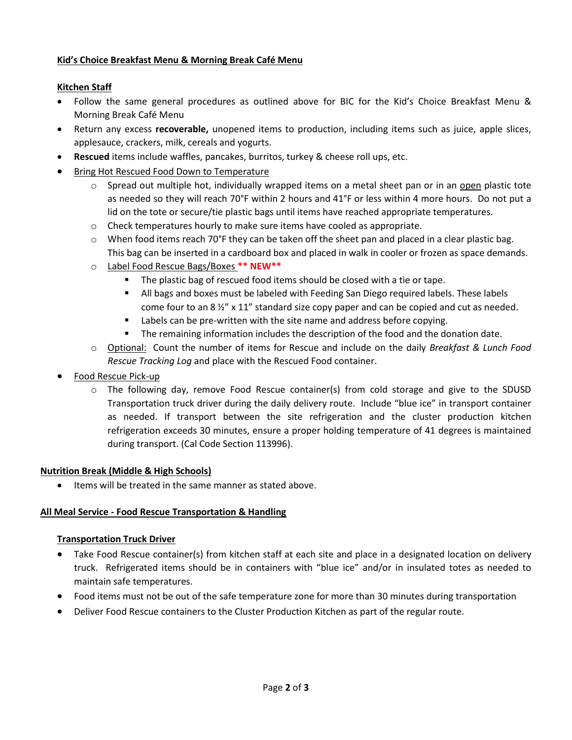#### **Kid's Choice Breakfast Menu & Morning Break Café Menu**

# **Kitchen Staff**

- Follow the same general procedures as outlined above for BIC for the Kid's Choice Breakfast Menu & Morning Break Café Menu
- Return any excess **recoverable,** unopened items to production, including items such as juice, apple slices, applesauce, crackers, milk, cereals and yogurts.
- **Rescued** items include waffles, pancakes, burritos, turkey & cheese roll ups, etc.
- **Bring Hot Rescued Food Down to Temperature** 
	- $\circ$  Spread out multiple hot, individually wrapped items on a metal sheet pan or in an open plastic tote as needed so they will reach 70°F within 2 hours and 41°F or less within 4 more hours. Do not put a lid on the tote or secure/tie plastic bags until items have reached appropriate temperatures.
	- o Check temperatures hourly to make sure items have cooled as appropriate.
	- $\circ$  When food items reach 70°F they can be taken off the sheet pan and placed in a clear plastic bag. This bag can be inserted in a cardboard box and placed in walk in cooler or frozen as space demands.
	- o Label Food Rescue Bags/Boxes **\*\* NEW\*\***
		- **The plastic bag of rescued food items should be closed with a tie or tape.**
		- **All bags and boxes must be labeled with Feeding San Diego required labels. These labels** come four to an 8 ½" x 11" standard size copy paper and can be copied and cut as needed.
		- **Labels can be pre-written with the site name and address before copying.**
		- **The remaining information includes the description of the food and the donation date.**
	- o Optional: Count the number of items for Rescue and include on the daily *Breakfast & Lunch Food Rescue Tracking Log* and place with the Rescued Food container.
- Food Rescue Pick-up
	- $\circ$  The following day, remove Food Rescue container(s) from cold storage and give to the SDUSD Transportation truck driver during the daily delivery route. Include "blue ice" in transport container as needed. If transport between the site refrigeration and the cluster production kitchen refrigeration exceeds 30 minutes, ensure a proper holding temperature of 41 degrees is maintained during transport. (Cal Code Section 113996).

#### **Nutrition Break (Middle & High Schools)**

• Items will be treated in the same manner as stated above.

#### **All Meal Service - Food Rescue Transportation & Handling**

#### **Transportation Truck Driver**

- Take Food Rescue container(s) from kitchen staff at each site and place in a designated location on delivery truck. Refrigerated items should be in containers with "blue ice" and/or in insulated totes as needed to maintain safe temperatures.
- Food items must not be out of the safe temperature zone for more than 30 minutes during transportation
- Deliver Food Rescue containers to the Cluster Production Kitchen as part of the regular route.